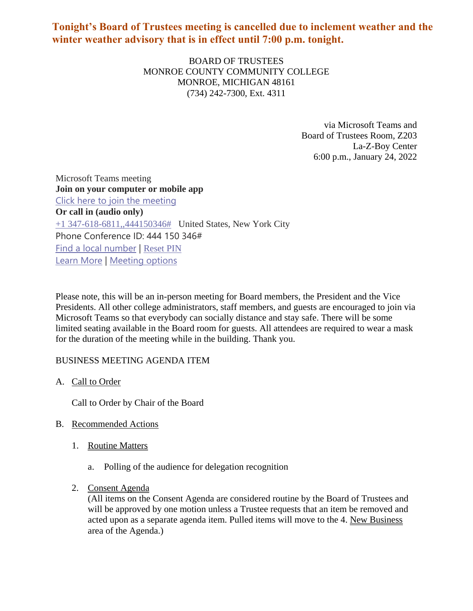# **Tonight's Board of Trustees meeting is cancelled due to inclement weather and the winter weather advisory that is in effect until 7:00 p.m. tonight.**

BOARD OF TRUSTEES MONROE COUNTY COMMUNITY COLLEGE MONROE, MICHIGAN 48161 (734) 242-7300, Ext. 4311

> via Microsoft Teams and Board of Trustees Room, Z203 La-Z-Boy Center 6:00 p.m., January 24, 2022

Microsoft Teams meeting **Join on your computer or mobile app** Click here to join the [meeting](https://teams.microsoft.com/l/meetup-join/19%3ameeting_OTNhNDE0ZDgtMWUzNS00ZGRmLTk1MjgtMDk0ZTBjOTAzZDc3%40thread.v2/0?context=%7b%22Tid%22%3a%2276f58c37-4ccb-4953-8754-48d3ac2857e6%22%2c%22Oid%22%3a%22cfa62792-2f83-486c-8009-c76a92253031%22%7d) **Or call in (audio only)** +1 [347-618-6811,,444150346#](tel:/+13476186811,,444150346%23) United States, New York City Phone Conference ID: 444 150 346# Find a local [number](https://dialin.teams.microsoft.com/0a5b3283-82d4-44a2-a3da-3e0ac96718dd?id=444150346) | [Reset](https://mysettings.lync.com/pstnconferencing) PIN [Learn](https://aka.ms/JoinTeamsMeeting) More | [Meeting](https://teams.microsoft.com/meetingOptions/?organizerId=cfa62792-2f83-486c-8009-c76a92253031&tenantId=76f58c37-4ccb-4953-8754-48d3ac2857e6&threadId=19_meeting_OTNhNDE0ZDgtMWUzNS00ZGRmLTk1MjgtMDk0ZTBjOTAzZDc3@thread.v2&messageId=0&language=en-US) options

Please note, this will be an in-person meeting for Board members, the President and the Vice Presidents. All other college administrators, staff members, and guests are encouraged to join via Microsoft Teams so that everybody can socially distance and stay safe. There will be some limited seating available in the Board room for guests. All attendees are required to wear a mask for the duration of the meeting while in the building. Thank you.

# BUSINESS MEETING AGENDA ITEM

A. Call to Order

Call to Order by Chair of the Board

# B. Recommended Actions

- 1. Routine Matters
	- a. Polling of the audience for delegation recognition
- 2. Consent Agenda

(All items on the Consent Agenda are considered routine by the Board of Trustees and will be approved by one motion unless a Trustee requests that an item be removed and acted upon as a separate agenda item. Pulled items will move to the 4. New Business area of the Agenda.)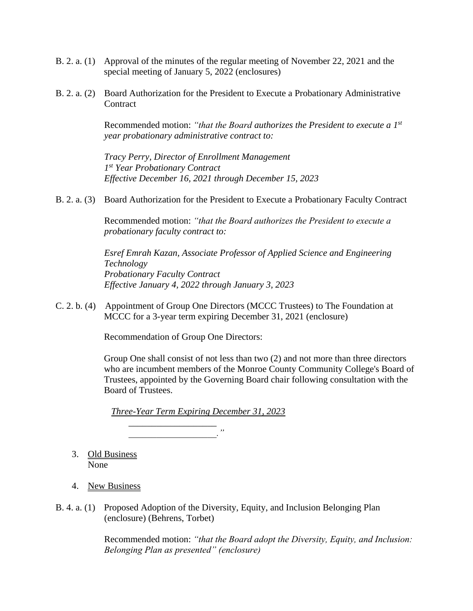- B. 2. a. (1) Approval of the minutes of the regular meeting of November 22, 2021 and the special meeting of January 5, 2022 (enclosures)
- B. 2. a. (2) Board Authorization for the President to Execute a Probationary Administrative **Contract**

Recommended motion: *"that the Board authorizes the President to execute a 1st year probationary administrative contract to:*

*Tracy Perry, Director of Enrollment Management 1 st Year Probationary Contract Effective December 16, 2021 through December 15, 2023*

B. 2. a. (3) Board Authorization for the President to Execute a Probationary Faculty Contract

Recommended motion: *"that the Board authorizes the President to execute a probationary faculty contract to:*

*Esref Emrah Kazan, Associate Professor of Applied Science and Engineering Technology Probationary Faculty Contract Effective January 4, 2022 through January 3, 2023*

C. 2. b. (4) Appointment of Group One Directors (MCCC Trustees) to The Foundation at MCCC for a 3-year term expiring December 31, 2021 (enclosure)

Recommendation of Group One Directors:

Group One shall consist of not less than two (2) and not more than three directors who are incumbent members of the Monroe County Community College's Board of Trustees, appointed by the Governing Board chair following consultation with the Board of Trustees.

*Three-Year Term Expiring December 31, 2023*

*\_\_\_\_\_\_\_\_\_\_\_\_\_\_\_\_\_\_\_ \_\_\_\_\_\_\_\_\_\_\_\_\_\_\_\_\_\_\_."*

- 3. Old Business None
- 4. New Business
- B. 4. a. (1) Proposed Adoption of the Diversity, Equity, and Inclusion Belonging Plan (enclosure) (Behrens, Torbet)

Recommended motion: *"that the Board adopt the Diversity, Equity, and Inclusion: Belonging Plan as presented" (enclosure)*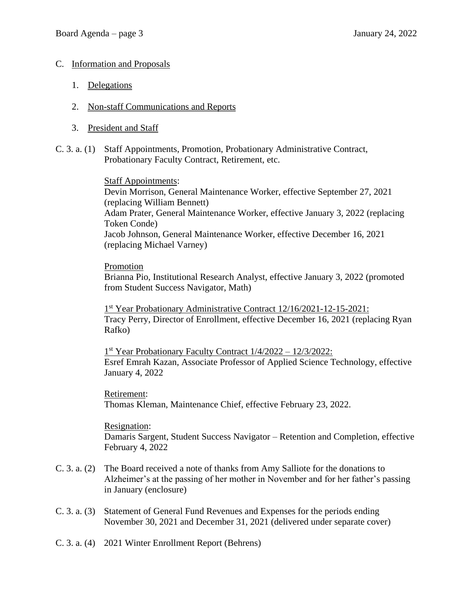#### C. Information and Proposals

- 1. Delegations
- 2. Non-staff Communications and Reports
- 3. President and Staff
- C. 3. a. (1) Staff Appointments, Promotion, Probationary Administrative Contract, Probationary Faculty Contract, Retirement, etc.

Staff Appointments: Devin Morrison, General Maintenance Worker, effective September 27, 2021 (replacing William Bennett) Adam Prater, General Maintenance Worker, effective January 3, 2022 (replacing Token Conde) Jacob Johnson, General Maintenance Worker, effective December 16, 2021 (replacing Michael Varney)

Promotion Brianna Pio, Institutional Research Analyst, effective January 3, 2022 (promoted from Student Success Navigator, Math)

1<sup>st</sup> Year Probationary Administrative Contract 12/16/2021-12-15-2021: Tracy Perry, Director of Enrollment, effective December 16, 2021 (replacing Ryan Rafko)

1<sup>st</sup> Year Probationary Faculty Contract 1/4/2022 - 12/3/2022: Esref Emrah Kazan, Associate Professor of Applied Science Technology, effective January 4, 2022

Retirement: Thomas Kleman, Maintenance Chief, effective February 23, 2022.

Resignation: Damaris Sargent, Student Success Navigator – Retention and Completion, effective February 4, 2022

- C. 3. a. (2) The Board received a note of thanks from Amy Salliote for the donations to Alzheimer's at the passing of her mother in November and for her father's passing in January (enclosure)
- C. 3. a. (3) Statement of General Fund Revenues and Expenses for the periods ending November 30, 2021 and December 31, 2021 (delivered under separate cover)
- C. 3. a. (4) 2021 Winter Enrollment Report (Behrens)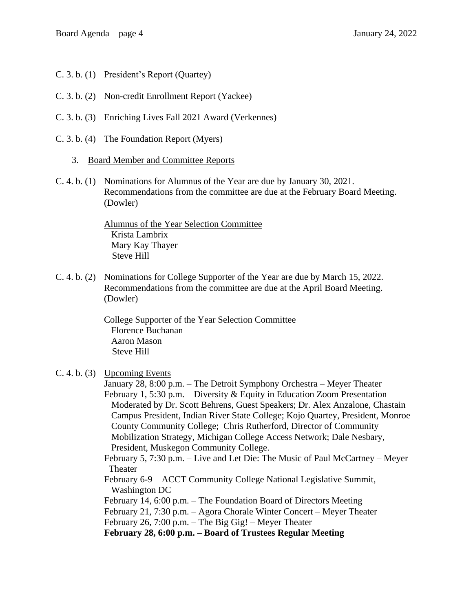- C. 3. b. (1) President's Report (Quartey)
- C. 3. b. (2) Non-credit Enrollment Report (Yackee)
- C. 3. b. (3) Enriching Lives Fall 2021 Award (Verkennes)
- C. 3. b. (4) The Foundation Report (Myers)
	- 3. Board Member and Committee Reports
- C. 4. b. (1) Nominations for Alumnus of the Year are due by January 30, 2021. Recommendations from the committee are due at the February Board Meeting. (Dowler)

Alumnus of the Year Selection Committee Krista Lambrix Mary Kay Thayer Steve Hill

C. 4. b. (2) Nominations for College Supporter of the Year are due by March 15, 2022. Recommendations from the committee are due at the April Board Meeting. (Dowler)

> College Supporter of the Year Selection Committee Florence Buchanan Aaron Mason Steve Hill

# C. 4. b. (3) Upcoming Events

January 28, 8:00 p.m. – The Detroit Symphony Orchestra – Meyer Theater February 1, 5:30 p.m. – Diversity & Equity in Education Zoom Presentation – Moderated by Dr. Scott Behrens, Guest Speakers; Dr. Alex Anzalone, Chastain Campus President, Indian River State College; Kojo Quartey, President, Monroe County Community College; Chris Rutherford, Director of Community Mobilization Strategy, Michigan College Access Network; Dale Nesbary, President, Muskegon Community College.

February 5, 7:30 p.m. – Live and Let Die: The Music of Paul McCartney – Meyer Theater

- February 6-9 ACCT Community College National Legislative Summit, Washington DC
- February 14, 6:00 p.m. The Foundation Board of Directors Meeting
- February 21, 7:30 p.m. Agora Chorale Winter Concert Meyer Theater
- February 26, 7:00 p.m. The Big Gig! Meyer Theater

**February 28, 6:00 p.m. – Board of Trustees Regular Meeting**